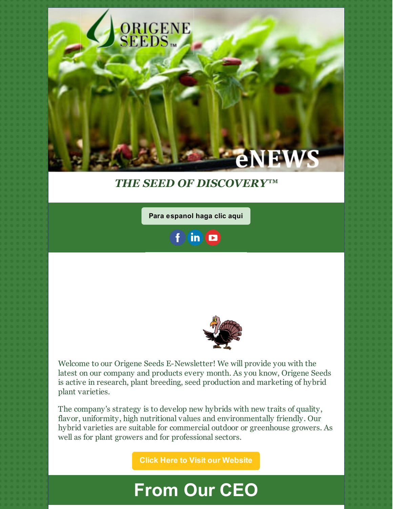

### *THE SEED OF DISCOVERY™*

**Para [espanol](https://conta.cc/2Q7G39u) haga clic aqui**

 $in$   $\Box$ 



Welcome to our Origene Seeds E-Newsletter! We will provide you with the latest on our company and products every month. As you know, Origene Seeds is active in research, plant breeding, seed production and marketing of hybrid plant varieties.

The company's strategy is to develop new hybrids with new traits of quality, flavor, uniformity, high nutritional values and environmentally friendly. Our hybrid varieties are suitable for commercial outdoor or greenhouse growers. As well as for plant growers and for professional sectors.

**Click Here to Visit our [Website](http://origeneseeds.com)**

## **From Our CEO**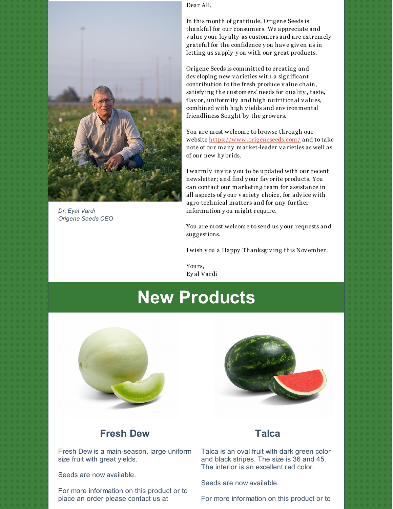

*Dr. Eyal Vardi Origene Seeds CEO*

Dear All,

In this month of gratitude, Origene Seeds is thankful for our consumers. We appreciate and v alue y our loy alty as customers and are extremely grateful for the confidence y ou hav e giv en us in letting us supply y ou with our great products.

Origene Seeds is committed to creating and dev eloping new v arieties with a significant contribution to the fresh produce v alue chain, satisfy ing the customers' needs for quality , taste, flav or, uniformity and high nutritional v alues, combined with high y ields and env ironmental friendliness Sought by the growers.

You are most welcome to browse through our website <https://www.origeneseeds.com/> and to take note of our many market-leader v arieties as well as of our new hy brids.

I warmly inv ite y ou to be updated with our recent newsletter; and find y our fav orite products. You can contact our marketing team for assistance in all aspects of y our v ariety choice, for adv ice with agro-technical matters and for any further information y ou might require.

You are most welcome to send us y our requests and suggestions.

I wish y ou a Happy Thanksgiv ing this Nov ember.

Yours, Ey al Vardi

## **New Products**





#### **Fresh Dew**

Fresh Dew is a main-season, large uniform size fruit with great yields.

Seeds are now available.

For more information on this product or to place an order please contact us at

#### **Talca**

Talca is an oval fruit with dark green color and black stripes. The size is 36 and 45. The interior is an excellent red color.

Seeds are now available.

For more information on this product or to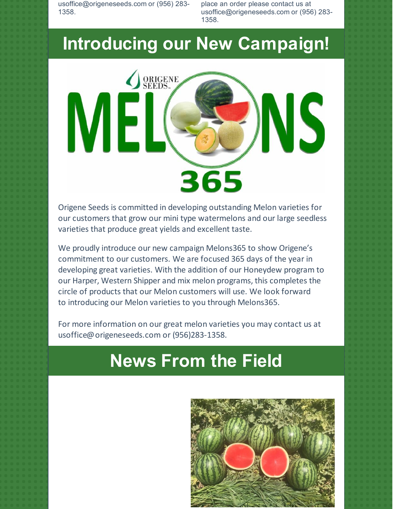usoffice@origeneseeds.com or (956) 283- 1358.

place an order please contact us at usoffice@origeneseeds.com or (956) 283- 1358.

## **Introducing our New Campaign!**



Origene Seeds is committed in developing outstanding Melon varieties for our customers that grow our mini type watermelons and our large seedless varieties that produce great yields and excellent taste.

We proudly introduce our new campaign Melons365 to show Origene's commitment to our customers. We are focused 365 days of the year in developing great varieties. With the addition of our Honeydew program to our Harper, Western Shipper and mix melon programs, this completes the circle of products that our Melon customers will use. We look forward to introducing our Melon varieties to you through Melons365.

For more information on our great melon varieties you may contact us at usoffice@origeneseeds.com or (956)283-1358.

# **News From the Field**

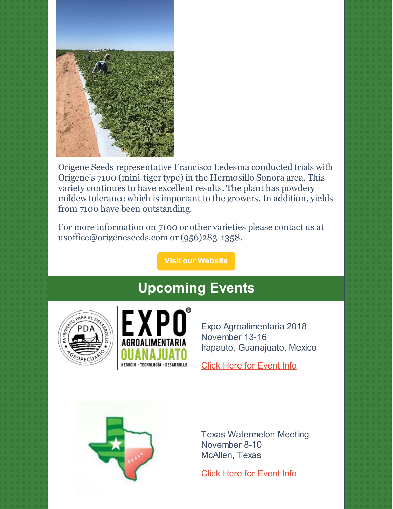

Origene Seeds representative Francisco Ledesma conducted trials with Origene's 7100 (mini-tiger type) in the Hermosillo Sonora area. This variety continues to have excellent results. The plant has powdery mildew tolerance which is important to the growers. In addition, yields from 7100 have been outstanding.

For more information on 7100 or other varieties please contact us at usoffice@origeneseeds.com or (956)283-1358.

**Visit our [Website](http://www.origeneseeds.com)**

### **Upcoming Events**





Expo Agroalimentaria 2018 November 13-16 Irapauto, Guanajuato, Mexico

Click Here for [Event](https://www.expoagrogto.com/) Info



Texas Watermelon Meeting November 8-10 McAllen, Texas

Click Here for [Event](https://www.texaswatermelons.com/index.php) Info